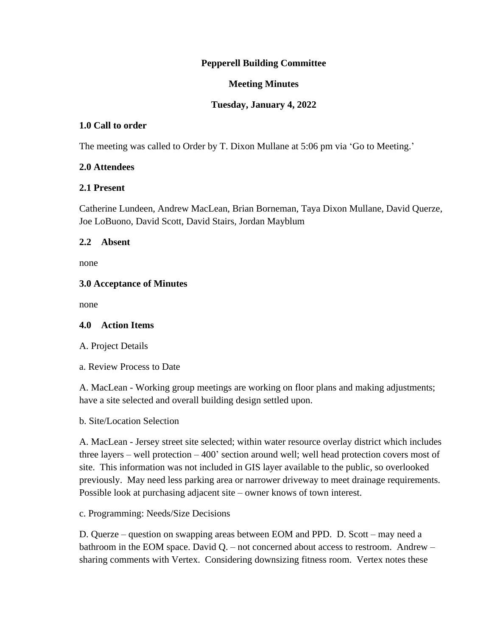# **Pepperell Building Committee**

## **Meeting Minutes**

# **Tuesday, January 4, 2022**

## **1.0 Call to order**

The meeting was called to Order by T. Dixon Mullane at 5:06 pm via 'Go to Meeting.'

#### **2.0 Attendees**

#### **2.1 Present**

Catherine Lundeen, Andrew MacLean, Brian Borneman, Taya Dixon Mullane, David Querze, Joe LoBuono, David Scott, David Stairs, Jordan Mayblum

#### **2.2 Absent**

none

#### **3.0 Acceptance of Minutes**

none

# **4.0 Action Items**

A. Project Details

a. Review Process to Date

A. MacLean - Working group meetings are working on floor plans and making adjustments; have a site selected and overall building design settled upon.

b. Site/Location Selection

A. MacLean - Jersey street site selected; within water resource overlay district which includes three layers – well protection – 400' section around well; well head protection covers most of site. This information was not included in GIS layer available to the public, so overlooked previously. May need less parking area or narrower driveway to meet drainage requirements. Possible look at purchasing adjacent site – owner knows of town interest.

c. Programming: Needs/Size Decisions

D. Querze – question on swapping areas between EOM and PPD. D. Scott – may need a bathroom in the EOM space. David Q. – not concerned about access to restroom. Andrew – sharing comments with Vertex. Considering downsizing fitness room. Vertex notes these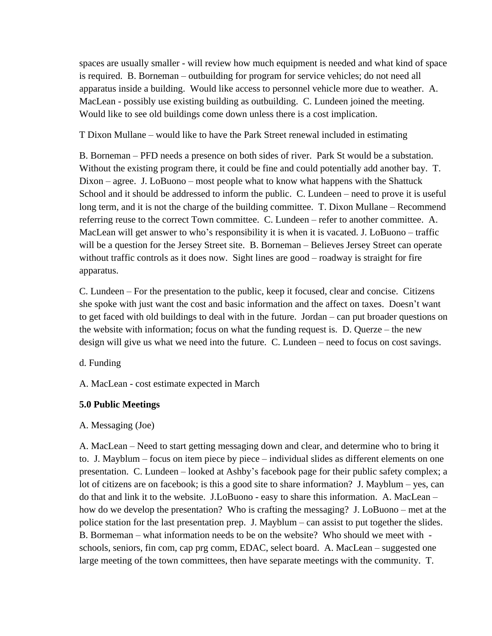spaces are usually smaller - will review how much equipment is needed and what kind of space is required. B. Borneman – outbuilding for program for service vehicles; do not need all apparatus inside a building. Would like access to personnel vehicle more due to weather. A. MacLean - possibly use existing building as outbuilding. C. Lundeen joined the meeting. Would like to see old buildings come down unless there is a cost implication.

T Dixon Mullane – would like to have the Park Street renewal included in estimating

B. Borneman – PFD needs a presence on both sides of river. Park St would be a substation. Without the existing program there, it could be fine and could potentially add another bay. T. Dixon – agree. J. LoBuono – most people what to know what happens with the Shattuck School and it should be addressed to inform the public. C. Lundeen – need to prove it is useful long term, and it is not the charge of the building committee. T. Dixon Mullane – Recommend referring reuse to the correct Town committee. C. Lundeen – refer to another committee. A. MacLean will get answer to who's responsibility it is when it is vacated. J. LoBuono – traffic will be a question for the Jersey Street site. B. Borneman – Believes Jersey Street can operate without traffic controls as it does now. Sight lines are good – roadway is straight for fire apparatus.

C. Lundeen – For the presentation to the public, keep it focused, clear and concise. Citizens she spoke with just want the cost and basic information and the affect on taxes. Doesn't want to get faced with old buildings to deal with in the future. Jordan – can put broader questions on the website with information; focus on what the funding request is. D. Querze – the new design will give us what we need into the future. C. Lundeen – need to focus on cost savings.

d. Funding

A. MacLean - cost estimate expected in March

# **5.0 Public Meetings**

# A. Messaging (Joe)

A. MacLean – Need to start getting messaging down and clear, and determine who to bring it to. J. Mayblum – focus on item piece by piece – individual slides as different elements on one presentation. C. Lundeen – looked at Ashby's facebook page for their public safety complex; a lot of citizens are on facebook; is this a good site to share information? J. Mayblum – yes, can do that and link it to the website. J.LoBuono - easy to share this information. A. MacLean – how do we develop the presentation? Who is crafting the messaging? J. LoBuono – met at the police station for the last presentation prep. J. Mayblum – can assist to put together the slides. B. Bormeman – what information needs to be on the website? Who should we meet with schools, seniors, fin com, cap prg comm, EDAC, select board. A. MacLean – suggested one large meeting of the town committees, then have separate meetings with the community. T.